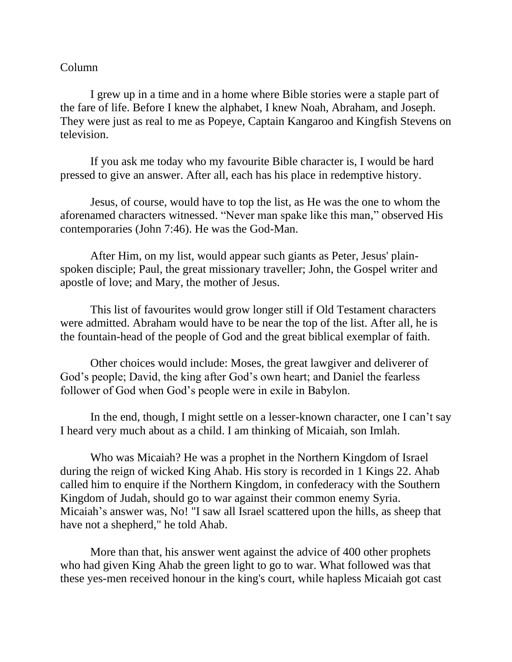## Column

I grew up in a time and in a home where Bible stories were a staple part of the fare of life. Before I knew the alphabet, I knew Noah, Abraham, and Joseph. They were just as real to me as Popeye, Captain Kangaroo and Kingfish Stevens on television.

If you ask me today who my favourite Bible character is, I would be hard pressed to give an answer. After all, each has his place in redemptive history.

Jesus, of course, would have to top the list, as He was the one to whom the aforenamed characters witnessed. "Never man spake like this man," observed His contemporaries (John 7:46). He was the God-Man.

After Him, on my list, would appear such giants as Peter, Jesus' plainspoken disciple; Paul, the great missionary traveller; John, the Gospel writer and apostle of love; and Mary, the mother of Jesus.

This list of favourites would grow longer still if Old Testament characters were admitted. Abraham would have to be near the top of the list. After all, he is the fountain-head of the people of God and the great biblical exemplar of faith.

Other choices would include: Moses, the great lawgiver and deliverer of God's people; David, the king after God's own heart; and Daniel the fearless follower of God when God's people were in exile in Babylon.

In the end, though, I might settle on a lesser-known character, one I can't say I heard very much about as a child. I am thinking of Micaiah, son Imlah.

Who was Micaiah? He was a prophet in the Northern Kingdom of Israel during the reign of wicked King Ahab. His story is recorded in 1 Kings 22. Ahab called him to enquire if the Northern Kingdom, in confederacy with the Southern Kingdom of Judah, should go to war against their common enemy Syria. Micaiah's answer was, No! "I saw all Israel scattered upon the hills, as sheep that have not a shepherd," he told Ahab.

More than that, his answer went against the advice of 400 other prophets who had given King Ahab the green light to go to war. What followed was that these yes-men received honour in the king's court, while hapless Micaiah got cast